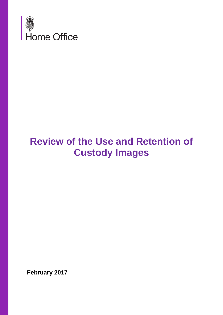

# **Review of the Use and Retention of Custody Images**

**February 2017**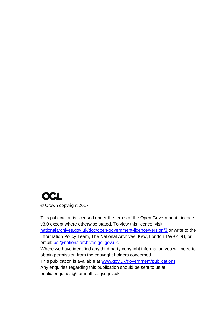## **OGL** © Crown copyright 2017

This publication is licensed under the terms of the Open Government Licence v3.0 except where otherwise stated. To view this licence, visit [nationalarchives.gov.uk/doc/open-government-licence/version/3](http://nationalarchives.gov.uk/doc/open-government-licence/version/3/) or write to the Information Policy Team, The National Archives, Kew, London TW9 4DU, or email: [psi@nationalarchives.gsi.gov.uk.](mailto:psi@nationalarchives.gsi.gov.uk) Where we have identified any third party copyright information you will need to obtain permission from the copyright holders concerned. This publication is available at [www.gov.uk/government/publications](http://www.gov.uk/government/publications) Any enquiries regarding this publication should be sent to us at

public.enquiries@homeoffice.gsi.gov.uk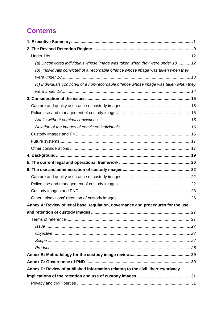## **Contents**

| (a) Unconvicted individuals whose image was taken when they were under 18 12          |  |
|---------------------------------------------------------------------------------------|--|
| (b) Individuals convicted of a recordable offence whose image was taken when they     |  |
|                                                                                       |  |
| (c) Individuals convicted of a non-recordable offence whose image was taken when they |  |
|                                                                                       |  |
|                                                                                       |  |
|                                                                                       |  |
|                                                                                       |  |
|                                                                                       |  |
|                                                                                       |  |
|                                                                                       |  |
|                                                                                       |  |
|                                                                                       |  |
|                                                                                       |  |
|                                                                                       |  |
|                                                                                       |  |
|                                                                                       |  |
|                                                                                       |  |
|                                                                                       |  |
|                                                                                       |  |
| Annex A: Review of legal base, regulation, governance and procedures for the use      |  |
|                                                                                       |  |
|                                                                                       |  |
|                                                                                       |  |
|                                                                                       |  |
|                                                                                       |  |
|                                                                                       |  |
|                                                                                       |  |
|                                                                                       |  |
| Annex D: Review of published information relating to the civil liberties/privacy      |  |
|                                                                                       |  |
|                                                                                       |  |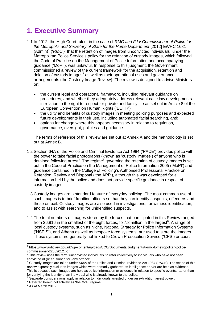## <span id="page-4-0"></span>**1. Executive Summary**

- 1.1 In 2012, the High Court ruled, in the case of *RMC and FJ v Commissioner of Police for the Metropolis and Secretary of State for the Home Department* [2012] EWHC 1681  $(Admin)<sup>1</sup>$  ('*RMC*'), that the retention of images from unconvicted individuals<sup>2</sup> under the Metropolitan Police Service's policy for the retention of custody images, which followed the Code of Practice on the Management of Police Information and accompanying guidance ('MoPI'), was unlawful. In response to this judgment, the Government commissioned a review of the current framework for the acquisition, retention and deletion of custody images $3$  as well as their operational uses and governance arrangements (the Custody Image Review). The review is designed to advise Ministers on:
	- the current legal and operational framework, including relevant guidance on procedures, and whether they adequately address relevant case law developments in relation to the right to respect for private and family life as set out in Article 8 of the European Convention on Human Rights ('ECHR');
	- the utility and benefits of custody images in meeting policing purposes and expected future developments in their use, including automated facial searching, and;
	- options for change where this appears necessary in relation to regulation, governance, oversight, policies and guidance.

The terms of reference of this review are set out at Annex A and the methodology is set out at Annex B.

- 1.2 Section 64A of the Police and Criminal Evidence Act 1984 ('PACE') provides police with the power to take facial photographs (known as 'custody images') of anyone who is detained following arrest<sup>4</sup>. The regime<sup>5</sup> governing the retention of custody images is set out in the Code of Practice on the Management of Police Information 2005 ('MoPI') and guidance contained in the College of Policing's Authorised Professional Practice on Retention, Review and Disposal ('the APP'), although this was developed for all information held by the police and does not provide specific guidance in respect of custody images.
- 1.3 Custody images are a standard feature of everyday policing. The most common use of such images is to brief frontline officers so that they can identify suspects, offenders and those on bail. Custody images are also used in investigations, for witness identification, and to assist with searching for unidentified suspects.
- 1.4 The total numbers of images stored by the forces that participated in this Review ranged from 26,816 in the smallest of the eight forces, to 7.8 million in the largest<sup>6</sup>. A range of local custody systems, such as Niche, National Strategy for Police Information Systems ('NSPIS'), and Athena as well as bespoke force systems, are used to store the images. These systems are generally not linked to Crown Prosecution Service ('CPS') or court

**<sup>.</sup>** <sup>1</sup> https://www.judiciary.gov.uk/wp-content/uploads/JCO/Documents/Judgments/r-rmc-fj-metropolitan-police-

commissioner-22062012.pdf<br><sup>2</sup> This review uses the term 'unconvicted individuals' to refer collectively to individuals who have not been convicted of (or cautioned for) any offence.

 $3$  Custody images are taken under S64A of the Police and Criminal Evidence Act 1984 (PACE). The scope of this review expressly excludes images which were primarily gathered as intelligence and/or are held as evidence. This is because such images are held as police information or evidence in relation to specific events, rather than for verifying the identity of an individual who is already known to the police.

<sup>4</sup> Separate considerations apply in relation to individuals arrested under an extradition arrest power.

<sup>&</sup>lt;sup>5</sup> Referred herein collectively as 'the MoPI regime'

 $<sup>6</sup>$  As at March 2015.</sup>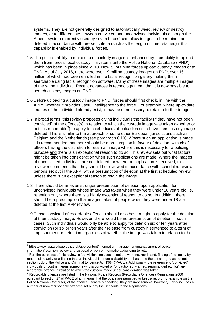systems. They are not generally designed to automatically weed, review or destroy images, or to differentiate between convicted and unconvicted individuals although the Athena system (currently used by seven forces) can allow images to be retained and deleted in accordance with pre-set criteria (such as the length of time retained) if this capability is enabled by individual forces.

- 1.5 The police's ability to make use of custody images is enhanced by their ability to upload them from forces' local custody IT systems onto the Police National Database ('PND'), which has been in place since 2010. Now all but nine forces upload custody images onto PND. As of July 2016, there were over 19 million custody images on PND, over 16 million of which had been enrolled in the facial recognition gallery making them searchable using facial recognition software. Many of these images are multiple images of the same individual. Recent advances in technology mean that it is now possible to search custody images on PND.
- 1.6 Before uploading a custody image to PND, forces should first check, in line with the  $APP<sup>7</sup>$ , whether it provides useful intelligence to the force. For example, where up-to-date images of the individual already exist, it may be unnecessary to retain a further image.
- 1.7 In broad terms, this review proposes giving individuals the facility (if they have not been convicted<sup>8</sup> of the offence(s) in relation to which the custody image was taken (whether or not it is recordable<sup>9</sup>) to apply to chief officers of police forces to have their custody image deleted. This is similar to the approach of some other European jurisdictions such as Belgium and the Netherlands (see paragraph 6.19). Where such an application is made it is recommended that there should be a presumption in favour of deletion, with chief officers having the discretion to retain an image where this is necessary for a policing purpose and there is an exceptional reason to do so. This review sets out what factors might be taken into consideration when such applications are made. Where the images of unconvicted individuals are not deleted, or where no application is received, this review recommends that they should be reviewed in accordance with scheduled review periods set out in the APP, with a presumption of deletion at the first scheduled review, unless there is an exceptional reason to retain the image.
- 1.8 There should be an even stronger presumption of deletion upon application for unconvicted individuals whose image was taken when they were under 18 years old i.e. retention only where there is a highly exceptional reason to do so. In addition, there should be a presumption that images taken of people when they were under 18 are deleted at the first APP review.
- 1.9 Those convicted of recordable offences should also have a right to apply for the deletion of their custody image. However, there would be no presumption of deletion in such cases. Such individuals would only be able to apply for deletion six or ten years after conviction (or six or ten years after their release from custody if sentenced to a term of imprisonment or detention regardless of whether the image was taken in relation to the

 7 https://www.app.college.police.uk/app-content/information-management/management-of-policeinformation/retention-review-and-disposal-of-police-information/#deciding-to-retain 8

For the purposes of this review, a 'conviction' includes a caution, warning, reprimand, finding of not guilty by reason of insanity or a finding that an individual is under a disability but has done the act charged as set out in section 65B of the Police and Criminal Evidence Act 1984 ('PACE'). Additionally, the reference to 'convicted' individuals or youths means someone who is convicted of (or cautioned, warned, reprimanded etc. for) any recordable offence in relation to which the custody image under consideration was taken.<br><sup>9</sup> Beserdable effences are listed in the National Belies Beserds (Beserdable Offences) B

Recordable offences are listed in the National Police Records (Recordable Offences) Regulations 2000 pursuant to section 27 of PACE which means that the police are permitted to keep a record (for example on the Police National Computer) of the offence. Generally speaking, they are imprisonable; however, it also includes a number of non-imprisonable offences set out by the Schedule to the Regulations.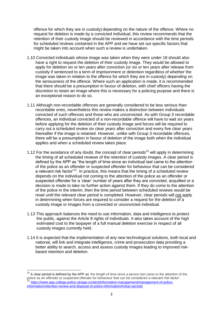offence for which they are in custody) depending on the nature of the offence. Where no request for deletion is made by a convicted individual, this review recommends that the retention of their custody image should be reviewed in accordance with the time periods for scheduled reviews contained in the APP and we have set out specific factors that might be taken into account when such a review is undertaken.

- 1.10 Convicted individuals whose image was taken when they were under 18 should also have a right to request the deletion of their custody image. They would be allowed to apply for deletion six or ten years after conviction (or six or ten years after release from custody if sentenced to a term of imprisonment or detention regardless of whether the image was taken in relation to the offence for which they are in custody) depending on the seriousness of the offence. Where such an application is made, it is recommended that there should be a presumption in favour of deletion, with chief officers having the discretion to retain an image where this is necessary for a policing purpose and there is an exceptional reason to do so.
- 1.11 Although non-recordable offences are generally considered to be less serious than recordable ones, nevertheless this review makes a distinction between individuals convicted of such offences and those who are unconvicted. As with Group 3 recordable offences, an individual convicted of a non-recordable offence will have to wait six years before applying for the deletion of their custody image and forces will be required to carry out a scheduled review six clear years after conviction and every five clear years thereafter if the image is retained. However, unlike with Group 3 recordable offences, there will be a presumption in favour of deletion of the image both when the individual applies and when a scheduled review takes place.
- 1.12 For the avoidance of any doubt, the concept of clear periods<sup>10</sup> will apply in determining the timing of all scheduled reviews of the retention of custody images. A clear period is defined by the APP as "the length of time since an individual last came to the attention of the police as an offender or suspected offender for behaviour that can be considered a relevant risk factor<sup> $n11$ </sup>. In practice, this means that the timing of a scheduled review depends on the individual not coming to the attention of the police as an offender or suspected offender for a 'clear' number of years after they are convicted, acquitted or a decision is made to take no further action against them. If they do come to the attention of the police in the interim, then the time period between scheduled reviews would be reset until the relevant clear period is completed. However, clear periods will not apply in determining when forces are required to consider a request for the deletion of a custody image or images from a convicted or unconvicted individual.
- 1.13 This approach balances the need to use information, data and intelligence to protect the public, against the Article 8 rights of individuals. It also takes account of the high estimated cost to the taxpayer of a full manual deletion exercise in respect of all custody images currently held.
- 1.14 It is expected that the implementation of any new technological solutions, both local and national, will link and integrate intelligence, crime and prosecution data providing a better ability to search, access and assess custody images leading to improved riskbased retention and deletion.

**.** 

 $10$  A clear period is defined by the APP as 'the length of time since a person last came to the attention of the police as an offender or suspected offender for behaviour that can be considered a relevant risk factor'. [https://www.app.college.police.uk/app-content/information-management/management-of-police](https://www.app.college.police.uk/app-content/information-management/management-of-police-information/retention-review-and-disposal-of-police-information/#clear-periods)[information/retention-review-and-disposal-of-police-information/#clear-periods](https://www.app.college.police.uk/app-content/information-management/management-of-police-information/retention-review-and-disposal-of-police-information/#clear-periods)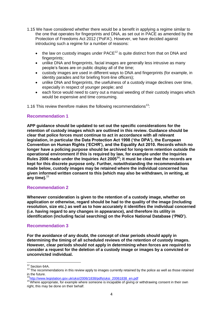- 1.15 We have considered whether there would be a benefit in applying a regime similar to the one that operates for fingerprints and DNA, as set out in PACE as amended by the Protection of Freedoms Act 2012 ('PoFA'). However, we have decided against introducing such a regime for a number of reasons:
	- $\bullet$  the law on custody images under PACE<sup>12</sup> is quite distinct from that on DNA and fingerprints;
	- unlike DNA and fingerprints, facial images are generally less intrusive as many people's faces are on public display all of the time;
	- custody images are used in different ways to DNA and fingerprints (for example, in identity parades and for briefing front-line officers);
	- unlike DNA and fingerprints, the usefulness of a custody image declines over time, especially in respect of younger people; and
	- each force would need to carry out a manual weeding of their custody images which would be expensive and time consuming.

1.16 This review therefore makes the following recommendations<sup>13</sup>:

### **Recommendation 1**

**APP guidance should be updated to set out the specific considerations for the retention of custody images which are outlined in this review. Guidance should be clear that police forces must continue to act in accordance with all relevant legislation, in particular the Data Protection Act 1998 ('the DPA'), the European Convention on Human Rights ('ECHR'), and the Equality Act 2010. Records which no longer have a policing purpose should be archived for long-term retention outside the operational environment if this is required by law, for example under the Inquiries Rules 2006 made under the Inquiries Act 2005<sup>14</sup>; it must be clear that the records are kept for this discrete purpose only. Further, notwithstanding the recommendations made below, custody images may be retained where the individual concerned has given informed written consent to this (which may also be withdrawn, in writing, at any time).**<sup>15</sup>

#### **Recommendation 2**

**Whenever consideration is given to the retention of a custody image, whether on application or otherwise, regard should be had to the quality of the image (including resolution, size etc.) as well as to how accurately it identifies the individual concerned (i.e. having regard to any changes in appearance), and therefore its utility in identification (including facial searching) on the Police National Database ('PND').** 

#### **Recommendation 3**

**For the avoidance of any doubt, the concept of clear periods should apply in determining the timing of all scheduled reviews of the retention of custody images. However, clear periods should not apply in determining when forces are required to consider a request for the deletion of a custody image or images by a convicted or unconvicted individual.**

**<sup>.</sup>**  $12$  Section 64A.

<sup>&</sup>lt;sup>13</sup> The recommendations in this review apply to images currently retained by the police as well as those retained in the future.

<sup>14</sup>[http://www.legislation.gov.uk/uksi/2006/1838/pdfs/uksi\\_20061838\\_en.pdf](http://www.legislation.gov.uk/uksi/2006/1838/pdfs/uksi_20061838_en.pdf)

<sup>&</sup>lt;sup>15</sup> Where appropriate, for example where someone is incapable of giving or withdrawing consent in their own right, this may be done on their behalf.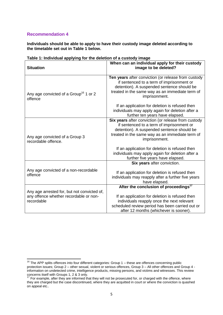**.** 

**Individuals should be able to apply to have their custody image deleted according to the timetable set out in Table 1 below.**

| <b>Situation</b>                                                                                                                                                                                                                                                                                                                                      | When can an individual apply for their custody<br>image to be deleted?                                                                                                                                                                                                                                                   |  |
|-------------------------------------------------------------------------------------------------------------------------------------------------------------------------------------------------------------------------------------------------------------------------------------------------------------------------------------------------------|--------------------------------------------------------------------------------------------------------------------------------------------------------------------------------------------------------------------------------------------------------------------------------------------------------------------------|--|
| Any age convicted of a Group <sup>16</sup> 1 or 2<br>offence                                                                                                                                                                                                                                                                                          | Ten years after conviction (or release from custody<br>if sentenced to a term of imprisonment or<br>detention). A suspended sentence should be<br>treated in the same way as an immediate term of<br>imprisonment.                                                                                                       |  |
|                                                                                                                                                                                                                                                                                                                                                       | If an application for deletion is refused then<br>individuals may apply again for deletion after a<br>further ten years have elapsed.                                                                                                                                                                                    |  |
| Any age convicted of a Group 3<br>recordable offence.                                                                                                                                                                                                                                                                                                 | Six years after conviction (or release from custody<br>if sentenced to a term of imprisonment or<br>detention). A suspended sentence should be<br>treated in the same way as an immediate term of<br>imprisonment.<br>If an application for deletion is refused then<br>individuals may apply again for deletion after a |  |
|                                                                                                                                                                                                                                                                                                                                                       | further five years have elapsed.                                                                                                                                                                                                                                                                                         |  |
| Any age convicted of a non-recordable<br>offence                                                                                                                                                                                                                                                                                                      | Six years after conviction.<br>If an application for deletion is refused then<br>individuals may reapply after a further five years<br>have elapsed.                                                                                                                                                                     |  |
| After the conclusion of proceedings <sup>17</sup><br>Any age arrested for, but not convicted of,<br>any offence whether recordable or non-<br>If an application for deletion is refused then<br>recordable<br>individuals reapply once the next relevant<br>scheduled review period has been carried out or<br>after 12 months (whichever is sooner). |                                                                                                                                                                                                                                                                                                                          |  |

#### **Table 1: Individual applying for the deletion of a custody image**

 $16$  The APP splits offences into four different categories: Group 1 – these are offences concerning public protection issues; Group 2 – other sexual, violent or serious offences, Group 3 – All other offences and Group 4 information on undetected crime, intelligence products, missing persons, and victims and witnesses. This review concerns itself with Groups 1, 2 & 3 only.

 $17$  For example, after they are informed that they will not be prosecuted for, or charged with the offence, where they are charged but the case discontinued, where they are acquitted in court or where the conviction is quashed on appeal etc..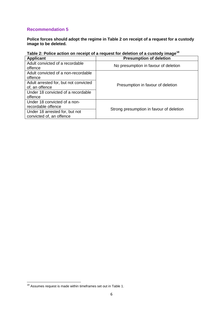**Police forces should adopt the regime in Table 2 on receipt of a request for a custody image to be deleted.**

| Table 2: Police action on receipt of a request for deletion of a custody image <sup>18</sup> |  |
|----------------------------------------------------------------------------------------------|--|
|----------------------------------------------------------------------------------------------|--|

| <b>Applicant</b>                      | <b>Presumption of deletion</b>           |  |
|---------------------------------------|------------------------------------------|--|
| Adult convicted of a recordable       | No presumption in favour of deletion     |  |
| offence                               |                                          |  |
| Adult convicted of a non-recordable   |                                          |  |
| offence                               |                                          |  |
| Adult arrested for, but not convicted | Presumption in favour of deletion        |  |
| of, an offence                        |                                          |  |
| Under 18 convicted of a recordable    |                                          |  |
| offence                               |                                          |  |
| Under 18 convicted of a non-          |                                          |  |
| recordable offence                    | Strong presumption in favour of deletion |  |
| Under 18 arrested for, but not        |                                          |  |
| convicted of, an offence              |                                          |  |

**<sup>.</sup>**  $18$  Assumes request is made within timeframes set out in Table 1.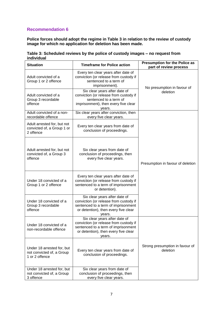**Police forces should adopt the regime in Table 3 in relation to the review of custody image for which no application for deletion has been made.**

| Table 3: Scheduled reviews by the police of custody images - no request from |  |
|------------------------------------------------------------------------------|--|
| individual                                                                   |  |

| <b>Situation</b><br><b>Timeframe for Police action</b>                    |                                                                                                                                                                  | <b>Presumption for the Police as</b><br>part of review process |
|---------------------------------------------------------------------------|------------------------------------------------------------------------------------------------------------------------------------------------------------------|----------------------------------------------------------------|
| Adult convicted of a<br>Group 1 or 2 offence                              | Every ten clear years after date of<br>conviction (or release from custody if<br>sentenced to a term of<br>imprisonment).                                        | No presumption in favour of                                    |
| Adult convicted of a<br>Group 3 recordable<br>offence                     | Six clear years after date of<br>conviction (or release from custody if<br>sentenced to a term of<br>imprisonment), then every five clear<br>vears.              | deletion                                                       |
| Adult convicted of a non-<br>recordable offence                           | Six clear years after conviction, then<br>every five clear years.                                                                                                |                                                                |
| Adult arrested for, but not<br>convicted of, a Group 1 or<br>2 offence    | Every ten clear years from date of<br>conclusion of proceedings.                                                                                                 |                                                                |
| Adult arrested for, but not<br>convicted of, a Group 3<br>offence         | Six clear years from date of<br>conclusion of proceedings, then<br>every five clear years.                                                                       | Presumption in favour of deletion                              |
| Under 18 convicted of a<br>Group 1 or 2 offence                           | Every ten clear years after date of<br>conviction (or release from custody if<br>sentenced to a term of imprisonment<br>or detention).                           |                                                                |
| Under 18 convicted of a<br>Group 3 recordable<br>offence                  | Six clear years after date of<br>conviction (or release from custody if<br>sentenced to a term of imprisonment<br>or detention), then every five clear<br>years. |                                                                |
| Under 18 convicted of a<br>non-recordable offence                         | Six clear years after date of<br>conviction (or release from custody if<br>sentenced to a term of imprisonment<br>or detention), then every five clear<br>years. |                                                                |
| Under 18 arrested for, but<br>not convicted of, a Group<br>1 or 2 offence | Every ten clear years from date of<br>conclusion of proceedings.                                                                                                 | Strong presumption in favour of<br>deletion                    |
| Under 18 arrested for, but<br>not convicted of, a Group<br>3 offence      | Six clear years from date of<br>conclusion of proceedings, then<br>every five clear years.                                                                       |                                                                |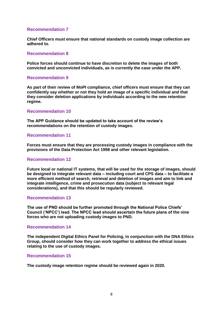**Chief Officers must ensure that national standards on custody image collection are adhered to.**

#### **Recommendation 8**

**Police forces should continue to have discretion to delete the images of both convicted and unconvicted individuals, as is currently the case under the APP.** 

#### **Recommendation 9**

**As part of their review of MoPI compliance, chief officers must ensure that they can confidently say whether or not they hold an image of a specific individual and that they consider deletion applications by individuals according to the new retention regime.**

#### **Recommendation 10**

**The APP Guidance should be updated to take account of the review's recommendations on the retention of custody images.**

#### **Recommendation 11**

**Forces must ensure that they are processing custody images in compliance with the provisions of the Data Protection Act 1998 and other relevant legislation.**

#### **Recommendation 12**

**Future local or national IT systems, that will be used for the storage of images, should be designed to integrate relevant data – including court and CPS data – to facilitate a more efficient method of search, retrieval and deletion of images and aim to link and integrate intelligence, crime and prosecution data (subject to relevant legal considerations), and that this should be regularly reviewed.** 

#### **Recommendation 13**

**The use of PND should be further promoted through the National Police Chiefs' Council ('NPCC') lead. The NPCC lead should ascertain the future plans of the nine forces who are not uploading custody images to PND.**

#### **Recommendation 14**

**The independent Digital Ethics Panel for Policing, in conjunction with the DNA Ethics Group, should consider how they can work together to address the ethical issues relating to the use of custody images.**

#### **Recommendation 15**

**The custody image retention regime should be reviewed again in 2020.**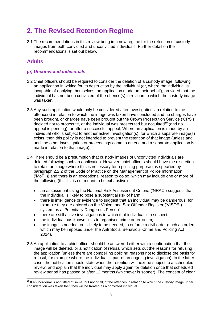## <span id="page-12-0"></span>**2. The Revised Retention Regime**

2.1 The recommendations in this review bring in a new regime for the retention of custody images from both convicted and unconvicted individuals. Further detail on the recommendations is set out below.

## **Adults**

**.** 

### *(a) Unconvicted individuals*

- 2.2 Chief officers should be required to consider the deletion of a custody image, following an application in writing for its destruction by the individual (or, where the individual is incapable of applying themselves, an application made on their behalf), provided that the individual has not been convicted of the offence(s) in relation to which the custody image was taken.
- 2.3 Any such application would only be considered after investigations in relation to the offence(s) in relation to which the image was taken have concluded and no charges have been brought, or charges have been brought but the Crown Prosecution Service ('CPS') decided not to prosecute, or the individual was prosecuted but acquitted<sup>19</sup> (and no appeal is pending), or after a successful appeal. Where an application is made by an individual who is subject to another active investigation(s), for which a separate image(s) exists, then this policy is not intended to prevent the retention of that image (unless and until the other investigation or proceedings come to an end and a separate application is made in relation to that image).
- 2.4 There should be a presumption that custody images of unconvicted individuals are deleted following such an application. However, chief officers should have the discretion to retain an image where this is necessary for a policing purpose (as specified by paragraph 2.2.2 of the Code of Practice on the Management of Police Information ('MoPI')) and there is an exceptional reason to do so, which may include one or more of the following (this list is not meant to be exhaustive):
	- an assessment using the National Risk Assessment Criteria ('NRAC') suggests that the individual is likely to pose a substantial risk of harm;
	- there is intelligence or evidence to suggest that an individual may be dangerous, for example they are entered on the Violent and Sex Offender Register ('VISOR') system as a 'Potentially Dangerous Person';
	- there are still active investigations in which that individual is a suspect;
	- the individual has known links to organised crime or terrorism;
	- the image is needed, or is likely to be needed, to enforce a civil order (such as orders which may be imposed under the Anti Social Behaviour Crime and Policing Act 2014).
- 2.5 An application to a chief officer should be answered either with a confirmation that the image will be deleted, or a notification of refusal which sets out the reasons for refusing the application (unless there are compelling policing reasons not to disclose the basis for refusal, for example where the individual is part of an ongoing investigation). In the latter case, the notification should state when the retention will next be subject to a scheduled review, and explain that the individual may apply again for deletion once that scheduled review period has passed or after 12 months (whichever is sooner). The concept of clear

<sup>&</sup>lt;sup>19</sup> If an individual is acquitted of some, but not of all, of the offences in relation to which the custody image under consideration was taken then they will be treated as a convicted individual.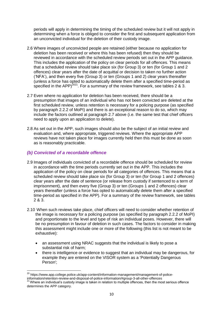periods will apply in determining the timing of the scheduled review but it will not apply in determining when a force is obliged to consider the first and subsequent application from an unconvicted individual for the deletion of their custody image.

- 2.6 Where images of unconvicted people are retained (either because no application for deletion has been received or where this has been refused) then they should be reviewed in accordance with the scheduled review periods set out in the APP guidance. This includes the application of the policy on clear periods for all offences. This means that a scheduled review should take place six (for Group 3) or ten (for Group 1 and 2 offences) clear years after the date of acquittal or decision to taken no further action ('NFA'), and then every five (Group 3) or ten (Groups 1 and 2) clear years thereafter (unless a force has opted to automatically delete them after a specified time-period as specified in the APP)<sup>2021</sup>. For a summary of the review framework, see tables 2 & 3.
- 2.7 Even where no application for deletion has been received, there should be a presumption that images of an individual who has not been convicted are deleted at the first scheduled review, unless retention is necessary for a policing purpose (as specified by paragraph 2.2.2 of MoPI) and there is an exceptional reason to do so, which may include the factors outlined at paragraph 2.7 above (i.e. the same test that chief officers need to apply upon an application to delete).
- 2.8 As set out in the APP, such images should also be the subject of an initial review and evaluation and, where appropriate, triggered reviews. Where the appropriate APP reviews have not taken place for images currently held then this must be done as soon as is reasonably practicable.

### *(b) Convicted of a recordable offence*

- 2.9 Images of individuals convicted of a recordable offence should be scheduled for review in accordance with the time periods currently set out in the APP. This includes the application of the policy on clear periods for all categories of offences. This means that a scheduled review should take place six (for Group 3) or ten (for Group 1 and 2 offences) clear years after the date of sentence (or release from custody if sentenced to a term of imprisonment), and then every five (Group 3) or ten (Groups 1 and 2 offences) clear years thereafter (unless a force has opted to automatically delete them after a specified time-period as specified in the APP). For a summary of the review framework, see tables 2 & 3.
- 2.10 When such reviews take place, chief officers will need to consider whether retention of the image is necessary for a policing purpose (as specified by paragraph 2.2.2 of MoPI) and proportionate to the level and type of risk an individual poses. However, there will be no presumption in favour of deletion in such cases. The factors to consider in making this assessment might include one or more of the following (this list is not meant to be exhaustive):
	- an assessment using NRAC suggests that the individual is likely to pose a substantial risk of harm;
	- there is intelligence or evidence to suggest that an individual may be dangerous, for example they are entered on the VISOR system as a 'Potentially Dangerous Person';

**<sup>.</sup>** <sup>20</sup> https://www.app.college.police.uk/app-content/information-management/management-of-policeinformation/retention-review-and-disposal-of-police-information/#group-3-all-other-offences

<sup>&</sup>lt;sup>21</sup> Where an individual's custody image is taken in relation to multiple offences, then the most serious offence determines the APP category.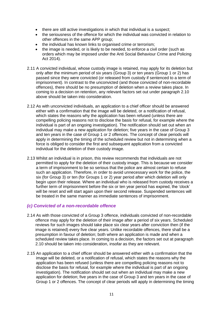- there are still active investigations in which that individual is a suspect;
- the seriousness of the offence for which the individual was convicted in relation to other offences in the same APP group;
- the individual has known links to organised crime or terrorism;
- the image is needed, or is likely to be needed, to enforce a civil order (such as orders which may be imposed under the Anti Social Behaviour Crime and Policing Act 2014).
- 2.11 A convicted individual, whose custody image is retained, may apply for its deletion but only after the minimum period of six years (Group 3) or ten years (Group 1 or 2) has passed since they were convicted (or released from custody if sentenced to a term of imprisonment). In contrast to the unconvicted (and those convicted of non-recordable offences), there should be no presumption of deletion when a review takes place. In coming to a decision on retention, any relevant factors set out under paragraph 2.10 above should be taken into consideration.
- 2.12 As with unconvicted individuals, an application to a chief officer should be answered either with a confirmation that the image will be deleted, or a notification of refusal, which states the reasons why the application has been refused (unless there are compelling policing reasons not to disclose the basis for refusal, for example where the individual is part of an ongoing investigation). The notification should set out when an individual may make a new application for deletion; five years in the case of Group 3 and ten years in the case of Group 1 or 2 offences. The concept of clear periods will apply in determining the timing of the scheduled review but not in determining when a force is obliged to consider the first and subsequent application from a convicted individual for the deletion of their custody image.
- 2.13 Whilst an individual is in prison, this review recommends that individuals are not permitted to apply for the deletion of their custody image. This is because we consider a term of imprisonment to be so serious that the police are almost certain to refuse such an application. Therefore, in order to avoid unnecessary work for the police, the six (for Group 3) or ten (for Groups 1 or 2) year period after which deletion will only begin upon their release. Where an individual who is released from custody receives a further term of imprisonment before the six or ten year period has expired, the 'clock' will be reset and will start again upon their second release. Suspended sentences will be treated in the same manner as immediate sentences of imprisonment.

#### *(c) Convicted of a non-recordable offence*

- 2.14 As with those convicted of a Group 3 offence, individuals convicted of non-recordable offence may apply for the deletion of their image after a period of six years. Scheduled reviews for such images should take place six clear years after conviction then (if the image is retained) every five clear years. Unlike recordable offences, there shall be a presumption in favour of deletion; both where an application is made and when a scheduled review takes place. In coming to a decision, the factors set out at paragraph 2.10 should be taken into consideration, insofar as they are relevant.
- 2.15 An application to a chief officer should be answered either with a confirmation that the image will be deleted, or a notification of refusal, which states the reasons why the application has been refused (unless there are compelling policing reasons not to disclose the basis for refusal, for example where the individual is part of an ongoing investigation). The notification should set out when an individual may make a new application for deletion; five years in the case of Group 3 and ten years in the case of Group 1 or 2 offences. The concept of clear periods will apply in determining the timing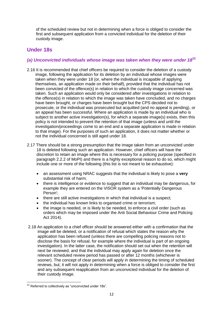of the scheduled review but not in determining when a force is obliged to consider the first and subsequent application from a convicted individual for the deletion of their custody image.

## <span id="page-15-0"></span>**Under 18s**

## <span id="page-15-1"></span>*(a) Unconvicted individuals whose image was taken when they were under 18***<sup>22</sup>**

- 2.16 It is recommended that chief officers be required to consider the deletion of a custody image, following the application for its deletion by an individual whose images were taken when they were under 18 (or, where the individual is incapable of applying themselves, an application made on their behalf), provided that the individual has not been convicted of the offence(s) in relation to which the custody image concerned was taken. Such an application would only be considered after investigations in relation to the offence(s) in relation to which the image was taken have concluded, and no charges have been brought, or charges have been brought but the CPS decided not to prosecute, or the individual was prosecuted but acquitted (and no appeal is pending), or an appeal has been successful. Where an application is made by an individual who is subject to another active investigation(s), for which a separate image(s) exists, then this policy is not intended to prevent the retention of that image (unless and until the investigation/proceedings come to an end and a separate application is made in relation to that image). For the purposes of such an application, it does not matter whether or not the individual concerned is still aged under 18.
- 2.17 There should be a strong presumption that the image taken from an unconvicted under 18 is deleted following such an application. However, chief officers will have the discretion to retain an image where this is necessary for a policing purpose (specified in paragraph 2.2.2 of MoPI) and there is a highly exceptional reason to do so, which might include one or more of the following (this list is not meant to be exhaustive):
	- an assessment using NRAC suggests that the individual is likely to pose a **very** substantial risk of harm;
	- there is intelligence or evidence to suggest that an individual may be dangerous, for example they are entered on the VISOR system as a 'Potentially Dangerous Person';
	- there are still active investigations in which that individual is a suspect;
	- the individual has known links to organised crime or terrorism;
	- the image is needed, or is likely to be needed, to enforce a civil order (such as orders which may be imposed under the Anti Social Behaviour Crime and Policing Act 2014).
- 2.18 An application to a chief officer should be answered either with a confirmation that the image will be deleted, or a notification of refusal which states the reason why the application has been refused (unless there are compelling policing reasons not to disclose the basis for refusal, for example where the individual is part of an ongoing investigation). In the latter case, the notification should set out when the retention will next be reviewed, and that the individual may apply again for deletion once the relevant scheduled review period has passed or after 12 months (whichever is sooner). The concept of clear periods will apply in determining the timing of scheduled reviews, but, it will not apply in determining when a force is obliged to consider the first and any subsequent reapplication from an unconvicted individual for the deletion of their custody image.

**<sup>.</sup>**  $22$  Referred to collectively as "unconvicted under 18s".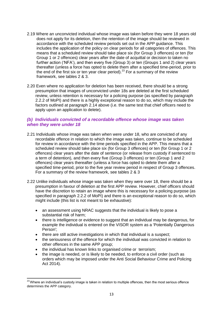- 2.19 Where an unconvicted individual whose image was taken before they were 18 years old does not apply for its deletion, then the retention of the image should be reviewed in accordance with the scheduled review periods set out in the APP guidance. This includes the application of the policy on clear periods for all categories of offences. This means that a scheduled review should take place six (for Group 3 offences) or ten (for Group 1 or 2 offences) clear years after the date of acquittal or decision to taken no further action ('NFA'), and then every five (Group 3) or ten (Groups 1 and 2) clear years thereafter (unless a force has opted to delete them after a specified time-period, prior to the end of the first six or ten year clear period).<sup>23</sup> For a summary of the review framework, see tables 2 & 3.
- 2.20 Even where no application for deletion has been received, there should be a strong presumption that images of unconvicted under 18s are deleted at the first scheduled review, unless retention is necessary for a policing purpose (as specified by paragraph 2.2.2 of MoPI) and there is a highly exceptional reason to do so, which may include the factors outlined at paragraph 2.14 above (i.e. the same test that chief officers need to apply upon an application to delete).

### <span id="page-16-0"></span>*(b) Individuals convicted of a recordable offence whose image was taken when they were under 18*

- 2.21 Individuals whose image was taken when were under 18, who are convicted of any recordable offence in relation to which the image was taken, continue to be scheduled for review in accordance with the time periods specified in the APP. This means that a scheduled review should take place six (for Group 3 offences) or ten (for Group 1 or 2 offences) clear years after the date of sentence (or release from custody if sentenced to a term of detention), and then every five (Group 3 offences) or ten (Group 1 and 2 offences) clear years thereafter (unless a force has opted to delete them after a specified time-period, prior to the five year review period in respect of Group 3 offences. For a summary of the review framework, see tables 2 & 3
- 2.22 Unlike individuals whose image was taken when they were over 18, there should be a presumption in favour of deletion at the first APP review. However, chief officers should have the discretion to retain an image where this is necessary for a policing purpose (as specified in paragraph 2.2.2 of MoPI) and there is an exceptional reason to do so, which might include (this list is not meant to be exhaustive):
	- an assessment using NRAC suggests that the individual is likely to pose a substantial risk of harm;
	- there is intelligence or evidence to suggest that an individual may be dangerous, for example the individual is entered on the VISOR system as a 'Potentially Dangerous Person';
	- there are still active investigations in which that individual is a suspect;
	- the seriousness of the offence for which the individual was convicted in relation to other offences in the same APP group;
	- the individual has known links to organised crime or terrorism;

**.** 

 the image is needed, or is likely to be needed, to enforce a civil order (such as orders which may be imposed under the Anti Social Behaviour Crime and Policing Act 2014).

 $^{23}$ Where an individual's custody image is taken in relation to multiple offences, then the most serious offence determines the APP category.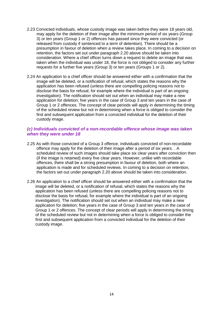- 2.23 Convicted individuals, whose custody image was taken before they were 18 years old, may apply for the deletion of their image after the minimum period of six years (Group 3) or ten years (Group 1 or 2) offences has passed since they were convicted (or released from custody if sentenced to a term of detention). There should be a presumption in favour of deletion when a review takes place. In coming to a decision on retention, the factors set out under paragraph 2.20 above should be taken into consideration. Where a chief officer turns down a request to delete an image that was taken when the individual was under 18, the force is not obliged to consider any further requests for a further five years (Group 3) or ten years (Groups 1 or 2).
- 2.24 An application to a chief officer should be answered either with a confirmation that the image will be deleted, or a notification of refusal, which states the reasons why the application has been refused (unless there are compelling policing reasons not to disclose the basis for refusal, for example where the individual is part of an ongoing investigation). The notification should set out when an individual may make a new application for deletion; five years in the case of Group 3 and ten years in the case of Group 1 or 2 offences. The concept of clear periods will apply in determining the timing of the scheduled review but not in determining when a force is obliged to consider the first and subsequent application from a convicted individual for the deletion of their custody image.

### <span id="page-17-0"></span>*(c) Individuals convicted of a non-recordable offence whose image was taken when they were under 18*

- 2.25 As with those convicted of a Group 3 offence, individuals convicted of non-recordable offence may apply for the deletion of their image after a period of six years. . A scheduled review of such images should take place six clear years after conviction then (if the image is retained) every five clear years. However, unlike with recordable offences, there shall be a strong presumption in favour of deletion, both where an application is made and for scheduled reviews. In coming to a decision on retention, the factors set out under paragraph 2.20 above should be taken into consideration.
- 2.26 An application to a chief officer should be answered either with a confirmation that the image will be deleted, or a notification of refusal, which states the reasons why the application has been refused (unless there are compelling policing reasons not to disclose the basis for refusal, for example where the individual is part of an ongoing investigation). The notification should set out when an individual may make a new application for deletion; five years in the case of Group 3 and ten years in the case of Group 1 or 2 offences. The concept of clear periods will apply in determining the timing of the scheduled review but not in determining when a force is obliged to consider the first and subsequent application from a convicted individual for the deletion of their custody image.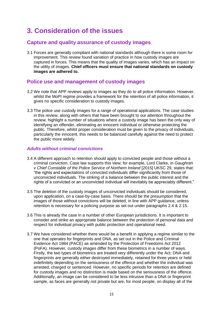## <span id="page-18-0"></span>**3. Consideration of the issues**

## <span id="page-18-1"></span>**Capture and quality assurance of custody images**

3.1 Forces are generally compliant with national standards although there is some room for improvement. This review found variation of practice in how custody images are captured in forces. This means that the quality of images varies, which has an impact on the utility of images. **Chief officers must ensure that national standards on custody images are adhered to.**

## <span id="page-18-2"></span>**Police use and management of custody images**

- 3.2 We note that APP reviews apply to images as they do to all police information. However, whilst the MoPI regime provides a framework for the retention of all police information, it gives no specific consideration to custody images.
- 3.3 The police use custody images for a range of operational applications. The case studies in this review, along with others that have been brought to our attention throughout the review, highlight a number of situations where a custody image has been the only way of identifying an offender, eliminating an innocent individual or otherwise protecting the public. Therefore, whilst proper consideration must be given to the privacy of individuals, particularly the innocent, this needs to be balanced carefully against the need to protect the public more widely.

### <span id="page-18-3"></span>*Adults without criminal convictions*

- 3.4 A different approach to retention should apply to convicted people and those without a criminal conviction. Case law supports this view; for example, Lord Clarke, in *Gaughran v Chief Constable of the Police Service of Northern Ireland* [2015] UKSC 29, states that: "the rights and expectations of convicted individuals differ significantly from those of unconvicted individuals. The striking of a balance between the public interest and the rights of a convicted or an unconvicted individual will inevitably be appreciably different."
- 3.5 The deletion of the custody images of unconvicted individuals should be considered, upon application, on a case-by-case basis. There should be the presumption that the images of those without convictions will be deleted, in line with APP guidance, unless retention is necessary for a policing purpose as set out under paragraphs 2.4 & 2.15.
- 3.6 This is already the case in a number of other European jurisdictions. It is important to consider and strike an appropriate balance between the protection of personal data and respect for individual privacy with public protection and operational need.
- 3.7 We have considered whether there would be a benefit in applying a regime similar to the one that operates for fingerprints and DNA, as set out in the Police and Criminal Evidence Act 1984 (PACE) as amended by the Protection of Freedoms Act 2012 (PoFA). However, custody images differ from these biometrics in a number of ways. Firstly, the two types of biometrics are treated very differently under the Act; DNA and fingerprints are generally either destroyed immediately, retained for three years or held indefinitely depending on the seriousness of the offence and whether the individual was arrested, charged or sentenced. However, no specific periods for retention are defined for custody images and no distinction is made based on the seriousness of the offence. Additionally, an image can be considered to be less intrusive than a DNA or fingerprint sample, as faces are generally not private but are, for most people, on display all of the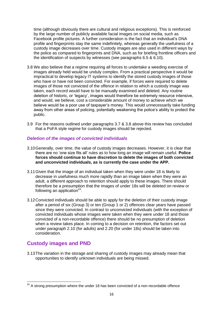time (although obviously there are cultural and religious exceptions). This is reinforced by the large number of publicly available facial images on social media, such as Facebook profile pictures. A further consideration is the fact that an individual's DNA profile and fingerprints stay the same indefinitely, whereas generally the usefulness of a custody image decreases over time. Custody images are also used in different ways by the police as compared to fingerprints and DNA, such as for briefing frontline officers and the identification of suspects by witnesses (see paragraphs 6.5 & 6.10).

- 3.8 We also believe that a regime requiring all forces to undertake a weeding exercise of images already held would be unduly complex. From a practical perspective it would be impractical to develop legacy IT systems to identify the stored custody images of those who have or have not been convicted. For example, if forces were required to delete images of those not convicted of the offence in relation to which a custody image was taken, each record would have to be manually examined and deleted. Any routine deletion of historic, or 'legacy', images would therefore be extremely resource intensive, and would, we believe, cost a considerable amount of money to achieve which we believe would be a poor use of taxpayer's money. This would unnecessarily take funding away from other areas of policing, potentially weakening the police's ability to protect the public.
- 3.9 For the reasons outlined under paragraphs 3.7 & 3.8 above this review has concluded that a PoFA style regime for custody images should be rejected.

### <span id="page-19-0"></span>*Deletion of the images of convicted individuals*

- 3.10Generally, over time, the value of custody images decreases. However, it is clear that there are no 'one size fits all' rules as to how long an image will remain useful. **Police forces should continue to have discretion to delete the images of both convicted and unconvicted individuals, as is currently the case under the APP.**
- 3.11Given that the image of an individual taken when they were under 18 is likely to decrease in usefulness much more rapidly than an image taken when they were an adult, a different approach to retention should apply to these images. There should therefore be a presumption that the images of under 18s will be deleted on review or following an application $24$ .
- 3.12Convicted individuals should be able to apply for the deletion of their custody image after a period of six (Group 3) or ten (Group 1 or 2) offences clear years have passed since they were convicted. In contrast to unconvicted individuals (with the exception of convicted individuals whose images were taken when they were under 18 and those convicted of a non-recordable offence) there should be no presumption of deletion when a review takes place. In coming to a decision on retention, the factors set out under paragraph 2.10 (for adults) and 2.20 (for under 18s) should be taken into consideration.

## <span id="page-19-1"></span>**Custody images and PND**

3.13The variation in the storage and sharing of custody images may already mean that opportunities to identify unknown individuals are being missed.

**<sup>.</sup>**  $24$  A strong presumption where the under 18 has been convicted of a non-recordable offence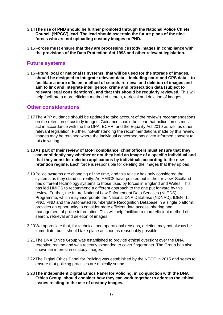- 3.14**The use of PND should be further promoted through the National Police Chiefs' Council ('NPCC') lead. The lead should ascertain the future plans of the nine forces who are not uploading custody images to PND.**
- 3.15**Forces must ensure that they are processing custody images in compliance with the provisions of the Data Protection Act 1998 and other relevant legislation.**

## <span id="page-20-0"></span>**Future systems**

3.16**Future local or national IT systems, that will be used for the storage of images, should be designed to integrate relevant data – including court and CPS data – to facilitate a more efficient method of search, retrieval and deletion of images and aim to link and integrate intelligence, crime and prosecution data (subject to relevant legal considerations), and that this should be regularly reviewed.** This will help facilitate a more efficient method of search, retrieval and deletion of images.

### <span id="page-20-1"></span>**Other considerations**

- 3.17The APP guidance should be updated to take account of the review's recommendations on the retention of custody images. Guidance should be clear that police forces must act in accordance with the the DPA, ECHR, and the Equality Act 2010 as well as other relevant legislation. Further, notwithstanding the recommendations made by this review, images may be retained where the individual concerned has given informed consent to this in writing.
- 3.18**As part of their review of MoPI compliance, chief officers must ensure that they can confidently say whether or not they hold an image of a specific individual and that they consider deletion applications by individuals according to the new retention regime.** Each force is responsible for deleting the images that they upload.
- 3.19Police systems are changing all the time, and this review has only considered the systems as they stand currently. As HMICS have pointed out in their review, Scotland has different technology systems to those used by forces in England and Wales. This has led HMICS to recommend a different approach to the one put forward by this review. Further, the future National Law Enforcement Data Services (NLEDS) Programme, which may incorporate the National DNA Database (NDNAD), IDENT1, PNC, PND and the Automated Numberplate Recognition Database in a single platform, provides an opportunity to consider more efficient data access, sharing and management of police information**.** This will help facilitate a more efficient method of search, retrieval and deletion of images.
- 3.20We appreciate that, for technical and operational reasons, deletion may not always be immediate, but it should take place as soon as reasonably possible.
- 3.21The DNA Ethics Group was established to provide ethical oversight over the DNA retention regime and was recently expanded to cover fingerprints. The Group has also shown an interest in custody images.
- 3.22The Digital Ethics Panel for Policing was established by the NPCC in 2015 and seeks to ensure that policing practices are ethically sound.
- 3.23**The independent Digital Ethics Panel for Policing, in conjunction with the DNA Ethics Group, should consider how they can work together to address the ethical issues relating to the use of custody images.**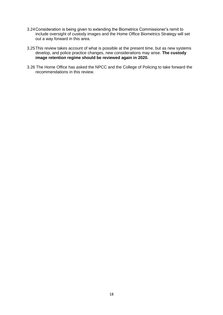- 3.24Consideration is being given to extending the Biometrics Commissioner's remit to include oversight of custody images and the Home Office Biometrics Strategy will set out a way forward in this area.
- 3.25This review takes account of what is possible at the present time, but as new systems develop, and police practice changes, new considerations may arise. **The custody image retention regime should be reviewed again in 2020.**
- 3.26 The Home Office has asked the NPCC and the College of Policing to take forward the recommendations in this review.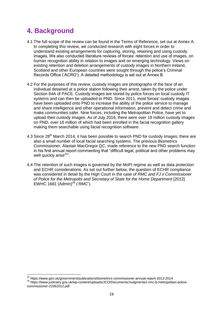## <span id="page-22-0"></span>**4. Background**

 $\overline{\phantom{a}}$ 

- 4.1 The full scope of the review can be found in the Terms of Reference, set out at Annex A. In completing this review, we conducted research with eight forces in order to understand existing arrangements for capturing, storing, retaining and using custody images. We also conducted literature reviews of forces' retention and use of images, on human recognition ability in relation to images and on emerging technology. Views on existing retention and deletion arrangements of custody images in Northern Ireland, Scotland and other European countries were sought through the police's Criminal Records Office ('ACRO'). A detailed methodology is set out at Annex B.
- 4.2 For the purposes of this review, custody images are photographs of the face of an individual detained at a police station following their arrest, taken by the police under Section 64A of PACE. Custody images are stored by police forces on local custody IT systems and can then be uploaded to PND. Since 2011, most forces' custody images have been uploaded onto PND to increase the ability of the police service to manage and share intelligence and other operational information, prevent and detect crime and make communities safer. Nine forces, including the Metropolitan Police, have yet to upload their custody images. As of July 2016, there were over 19 million custody images on PND, over 16 million of which had been enrolled in the facial recognition gallery making them searchable using facial recognition software.
- 4.3 Since 28<sup>th</sup> March 2014, it has been possible to search PND for custody images; there are also a small number of local facial searching systems. The previous Biometrics Commissioner, Alastair MacGregor QC, made reference to the new PND search function in his first annual report commenting that "difficult legal, political and other problems may well quickly arise<sup>25</sup>".
- 4.4 The retention of such images is governed by the MoPI regime as well as data protection and ECHR considerations. As set out further below, the question of ECHR compliance was considered in detail by the High Court in the case of *RMC and FJ v Commissioner of Police for the Metropolis and Secretary of State for the Home Department* [2012] EWHC 1681 (Admin)<sup>26</sup> ('*RMC*').

<sup>&</sup>lt;sup>25</sup> https://www.gov.uk/government/publications/biometrics-commissioner-annual-report-2013-2014

<sup>26</sup> https://www.judiciary.gov.uk/wp-content/uploads/JCO/Documents/Judgments/r-rmc-fj-metropolitan-policecommissioner-22062012.pdf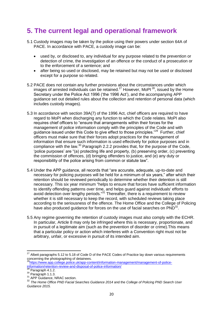## <span id="page-23-0"></span>**5. The current legal and operational framework**

- 5.1 Custody images may be taken by the police using their powers under section 64A of PACE. In accordance with PACE, a custody image can be:
	- used by, or disclosed to, any individual for any purpose related to the prevention or detection of crime, the investigation of an offence or the conduct of a prosecution or to the enforcement of a sentence; and
	- after being so used or disclosed, may be retained but may not be used or disclosed except for a purpose so related.
- 5.2 PACE does not contain any further provisions about the circumstances under which images of arrested individuals can be retained.<sup>27</sup> However, MoPI $^{28}$ , issued by the Home Secretary under the Police Act 1996 ('the 1996 Act'), and the accompanying APP guidance set out detailed rules about the collection and retention of personal data (which includes custody images).
- 5.3 In accordance with section 39A(7) of the 1996 Act, chief officers are required to have regard to MoPI when discharging any function to which the Code relates. MoPI also requires chief officers to "ensure that arrangements within their forces for the management of police information comply with the principles of the Code and with guidance issued under this Code to give effect to those principles."<sup>29</sup> Further, chief officers must make sure that their forces adopt practices for the management of information that ensure such information is used effectively for police purposes and in compliance with the law.<sup>30</sup> Paragraph 2.2.2 provides that, for the purpose of the Code, 'police purposes' are "(a) protecting life and property, (b) preserving order, (c) preventing the commission of offences, (d) bringing offenders to justice, and (e) any duty or responsibility of the police arising from common or statute law".
- 5.4 Under the APP guidance, all records that "are accurate, adequate, up-to-date and necessary for policing purposes will be held for a minimum of six years," after which their retention should be reviewed periodically to determine whether their detention is still necessary. This six year minimum "helps to ensure that forces have sufficient information to identify offending patterns over time, and helps guard against individuals' efforts to avoid detection over lengthy periods."<sup>31</sup> Thereafter, there is a requirement to review whether it is still necessary to keep the record, with scheduled reviews taking place according to the seriousness of the offence. The Home Office and the College of Policing have also produced guidance for forces on the use of facial searches on  $PND^{32}$ .
- 5.5 Any regime governing the retention of custody images must also comply with the ECHR. In particular, Article 8 may only be infringed where this is necessary, proportionate, and in pursuit of a legitimate aim (such as the prevention of disorder or crime).This means that a particular policy or action which interferes with a Convention right must not be arbitrary, unfair, or excessive in pursuit of its intended aim.

**.** 

 $^{27}$  Albeit paragraphs 5.12 to 5.18 of Code D of the PACE Codes of Practice lay down various requirements concerning the photographing of detainees.

<sup>&</sup>lt;sup>28</sup>[https://www.app.college.police.uk/app-content/information-management/management-of-police](https://www.app.college.police.uk/app-content/information-management/management-of-police-information/retention-review-and-disposal-of-police-information/)[information/retention-review-and-disposal-of-police-information/](https://www.app.college.police.uk/app-content/information-management/management-of-police-information/retention-review-and-disposal-of-police-information/)

<sup>&</sup>lt;sup>29</sup> Paragraph 4.1.2.

 $30$  Paragraph 1.1.3.

<sup>31</sup> APP Guidance, NRAC section.

<sup>32</sup> *The Home Office PND Facial Searches Guidance 2014* and the *College of Policing PND Search User Guidance 2015.*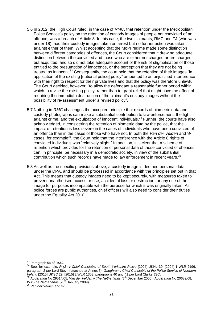- 5.6 In 2012, the High Court ruled, in the case of *RMC*, that retention under the Metropolitan Police Service's policy on the retention of custody images of people not convicted of an offence, was a breach of Article 8. In this case, the two claimants, RMC and FJ (who was under 18), had their custody images taken on arrest but no further action was taken against either of them. Whilst accepting that the MoPI regime made some distinction between different categories of offences, the Court considered that it drew no adequate distinction between the convicted and those who are either not charged or are charged but acquitted, and so did not take adequate account of the risk of stigmatisation of those entitled to the presumption of innocence, or the perception that they are not being treated as innocent.<sup>33</sup> Consequently, the court held that the retention of their images "in application of the existing [national police] policy" amounted to an uniustified interference with their right to respect for their private lives and that the policy was therefore unlawful. The Court decided, however, "to allow the defendant a reasonable further period within which to revise the existing policy, rather than to grant relief that might have the effect of requiring the immediate destruction of the claimant's custody images without the possibility of re-assessment under a revised policy".
- 5.7 Nothing in *RMC* challenges the accepted principle that records of biometric data and custody photographs can make a substantial contribution to law enforcement, the fight against crime, and the exculpation of innocent individuals.<sup>34</sup> Further, the courts have also acknowledged, in considering the retention of biometric data by the police, that the impact of retention is less severe in the cases of individuals who have been convicted of an offence than in the cases of those who have not. In both the *Van der Velden* and *W*  cases, for example<sup>35</sup>, the Court held that the interference with the Article 8 rights of convicted individuals was "relatively slight." In addition, it is clear that a scheme of retention which provides for the retention of personal data of those convicted of offences can, in principle, be necessary in a democratic society, in view of the substantial contribution which such records have made to law enforcement in recent years.<sup>36</sup>
- 5.8 As well as the specific provisions above, a custody image is deemed personal data under the DPA, and should be processed in accordance with the principles set out in that Act. This means that custody images need to be kept securely, with measures taken to prevent unauthorised access or use, accidental loss or destruction, or any use of the image for purposes incompatible with the purpose for which it was originally taken. As police forces are public authorities, chief officers will also need to consider their duties under the Equality Act 2010.

**<sup>.</sup>** <sup>33</sup> Paragraph 54 of *RMC*.

<sup>34</sup> See, for example, *R (S) v Chief Constable of South Yorkshire Police* [2004] UKHL 39, [2004] 1 WLR 2196, paragraph 2 *per* Lord Steyn (attached at Annex 5); *Gaughran v Chief Constable of the Police Service of Northern Ireland* [2015] UKSC 29, [2015] 2 WLR 1303, paragraphs 40 and 41 *per* Lord Clarke JSC.

<sup>35</sup> Application No 29514/05, *Van der Velden v The Netherlands* (7th December 2006), Application No 20689/08, *W v The Netherlands* (20<sup>th</sup> January 2009).

<sup>36</sup> *Van der Velden* and *W.*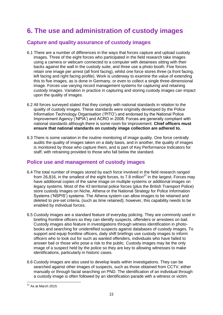## <span id="page-25-0"></span>**6. The use and administration of custody images**

## <span id="page-25-1"></span>**Capture and quality assurance of custody images**

- 6.1 There are a number of differences in the ways that forces capture and upload custody images. Three of the eight forces who participated in the field research take images using a camera or webcam connected to a computer with detainees sitting with their backs against the wall in the custody suite, and three use a photo booth. Five forces retain one image per arrest (all front facing), whilst one force stores three (a front facing, left facing and right facing profile). Work is underway to examine the value of extending this to five images, as is done in Germany, or even to collect a single three-dimensional image. Forces use varying record management systems for capturing and retaining custody images. Variation in practice in capturing and storing custody images can impact upon the quality of images.
- 6.2 All forces surveyed stated that they comply with national standards in relation to the quality of custody images. These standards were originally developed by the Police Information Technology Organisation ('PITO') and endorsed by the National Police Improvement Agency ('NPIA') and ACRO in 2008. Forces are generally compliant with national standards although there is some room for improvement. **Chief officers must ensure that national standards on custody image collection are adhered to.**
- 6.3 There is some variation in the routine monitoring of image quality. One force centrally audits the quality of images taken on a daily basis, and in another, the quality of images is monitored by those who capture them, and is part of Key Performance Indicators for staff, with retraining provided to those who fall below the standard.

## <span id="page-25-2"></span>**Police use and management of custody images**

- 6.4 The total number of images stored by each force involved in the field research ranged from 26,816, in the smallest of the eight forces, to 7.8 million<sup>37</sup> in the largest. Forces may have additional copies of the same image on multiple systems or additional images on legacy systems. Most of the 43 territorial police forces (plus the British Transport Police) store custody images on Niche, Athena or the National Strategy for Police Information Systems ('NSPIS') systems. The Athena system can allow images to be retained and deleted to pre-set criteria, (such as time retained); however, this capability needs to be enabled by individual forces.
- 6.5 Custody images are a standard feature of everyday policing. They are commonly used in briefing frontline officers so they can identify suspects, offenders or arrestees on bail. Custody images also feature in investigations through witness identification in photobooks and searching for unidentified suspects against databases of custody images. To support and equip frontline officers, daily shift briefings use custody images to inform officers who to look out for such as wanted offenders, individuals who have failed to answer bail or those who pose a risk to the public. Custody images may be the only image of a suspect held by the police so they are key to allowing witnesses to make identifications, particularly in historic cases.
- 6.6 Custody images are also used to develop leads within investigations. They can be searched against other images of suspects, such as those obtained from CCTV, either manually or through facial searching on PND. The identification of an individual through a custody image is often followed by an identification parade with a witness or victim.

**<sup>.</sup>**  $37$  As at March 2015.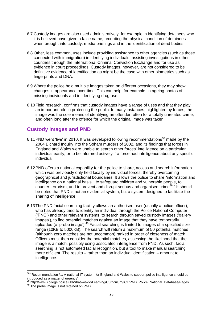- 6.7 Custody images are also used administratively, for example in identifying detainees who it is believed have given a false name, recording the physical condition of detainees when brought into custody, media briefings and in the identification of dead bodies.
- 6.8 Other, less common, uses include providing assistance to other agencies (such as those connected with immigration) in identifying individuals, assisting investigations in other countries through the International Criminal Conviction Exchange and for use as evidence in court proceedings. Custody images, however, are not considered to be definitive evidence of identification as might be the case with other biometrics such as fingerprints and DNA.
- 6.9 Where the police hold multiple images taken on different occasions, they may show changes in appearance over time. This can help, for example, in ageing photos of missing individuals and in identifying drug use.
- 6.10Field research, confirms that custody images have a range of uses and that they play an important role in protecting the public. In many instances, highlighted by forces, the image was the sole means of identifying an offender, often for a totally unrelated crime, and often long after the offence for which the original image was taken.

## <span id="page-26-0"></span>**Custody images and PND**

- 6.11 PND went 'live' in 2010. It was developed following recommendations<sup>38</sup> made by the 2004 Bichard Inquiry into the Soham murders of 2002, and its findings that forces in England and Wales were unable to search other forces' intelligence on a particular individual easily, or to be informed actively if a force had intelligence about any specific individual.
- 6.12PND offers a national capability for the police to share, access and search information which was previously only held locally by individual forces, thereby overcoming geographical and jurisdictional boundaries. It allows the police to share "information and intelligence on a national basis…to safeguard children and vulnerable people, to counter terrorism, and to prevent and disrupt serious and organised crime<sup>39</sup>." It should be noted that PND is not an evidential system, but a system designed to facilitate the sharing of intelligence.
- 6.13The PND facial searching facility allows an authorised user (usually a police officer), who has already tried to identity an individual through the Police National Computer ('PNC') and other relevant systems, to search through saved custody images ('gallery images'), to find potential matches against an image that they have temporarily uploaded (a 'probe image').<sup>40</sup> Facial searching is limited to images of a specified size range (10KB to 5000KB). The search will return a maximum of 50 potential matches (although zero matches are not uncommon) ranked in order of closeness of match. Officers must then consider the potential matches, assessing the likelihood that the image is a match, possibly using associated intelligence from PND. As such, facial searching is not automated facial recognition, but a tool to make manual searching more efficient. The results – rather than an individual identification – amount to intelligence.

**.** 

<sup>&</sup>lt;sup>38</sup> "Recommendation \*1: A national IT system for England and Wales to support police intelligence should be introduced as a matter of urgency".

<sup>&</sup>lt;sup>39</sup> http://www.college.police.uk/What-we-do/Learning/Curriculum/ICT/PND\_Police\_National\_Database/Pages

<sup>&</sup>lt;sup>40</sup> The probe image is not retained on PND.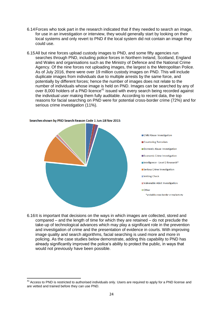- 6.14Forces who took part in the research indicated that if they needed to search an image, for use in an investigation or interview, they would generally start by looking on their local systems and only revert to PND if the local system did not contain an image they could use.
- 6.15All but nine forces upload custody images to PND, and some fifty agencies run searches through PND, including police forces in Northern Ireland, Scotland, England and Wales and organisations such as the Ministry of Defence and the National Crime Agency. Of the nine forces not uploading images, the largest is the Metropolitan Police. As of July 2016, there were over 19 million custody images on PND. This will include duplicate images from individuals due to multiple arrests by the same force, and potentially by different forces; hence the number of images does not relate to the number of individuals whose image is held on PND. Images can be searched by any of over 8,000 holders of a PND licence<sup>41</sup> issued with every search being recorded against the individual user making them fully auditable. According to recent data, the top reasons for facial searching on PND were for potential cross-border crime (72%) and for serious crime investigation (11%).



#### Searches shown by PND Search Reason Code 1 Jun-18 Nov 2015

**.** 

6.16It is important that decisions on the ways in which images are collected, stored and compared – and the length of time for which they are retained – do not preclude the take-up of technological advances which may play a significant role in the prevention and investigation of crime and the presentation of evidence in courts. With improving image quality and search algorithms, facial searching is used more and more in policing. As the case studies below demonstrate, adding this capability to PND has already significantly improved the police's ability to protect the public, in ways that would not previously have been possible.

 $41$  Access to PND is restricted to authorised individuals only. Users are required to apply for a PND license and are vetted and trained before they can use PND.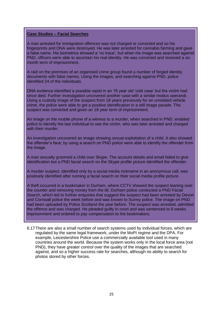#### **Case Studies – Facial Searches**

A man arrested for immigration offences was not charged or convicted and so his fingerprints and DNA were destroyed. He was later arrested for cannabis farming and gave a false name. His biometrics showed a 'no trace', but when his image was searched against PND, officers were able to ascertain his real identity. He was convicted and received a six month term of imprisonment.

A raid on the premises of an organised crime group found a number of forged identity documents with false names. Using the images, and searching against PND, police identified 24 of the individuals.

DNA evidence identified a possible rapist in an 18 year old 'cold case' but the victim had since died. Further investigation uncovered another case with a similar modus operandi. Using a custody image of the suspect from 18 years previously for an unrelated vehicle crime, the police were able to get a positive identification in a still image parade. The suspect was convicted and given an 18 year term of imprisonment.

An image on the mobile phone of a witness to a murder, when searched in PND, enabled police to identify the last individual to see the victim, who was later arrested and charged with their murder.

An investigation uncovered an image showing sexual exploitation of a child. It also showed the offender's face; by using a search on PND police were able to identify the offender from the image.

A man sexually groomed a child over Skype. The account details and email failed to give identification but a PND facial search on the Skype profile picture identified the offender.

A murder suspect, identified only by a social media nickname in an anonymous call, was positively identified after running a facial search on their social media profile picture.

A theft occurred in a bookmaker in Durham, where CCTV showed the suspect leaning over the counter and removing money from the till. Durham police conducted a PND Facial Search, which led to further enquiries that suggest the suspect had been arrested by Devon and Cornwall police the week before and was known to Surrey police. The image on PND had been uploaded by Police Scotland the year before. The suspect was arrested, admitted the offence and was charged. He pleaded guilty in court and was sentenced to 6 weeks imprisonment and ordered to pay compensation to the bookmakers.

<span id="page-28-0"></span>6.17There are also a small number of search systems used by individual forces, which are regulated by the same legal framework, under the MoPI regime and the DPA. For example, Leicestershire Police use a commercially available tool used in many countries around the world. Because the system works only in the local force area (not PND), they have greater control over the quality of the images that are searched against, and so a higher success rate for searches, although no ability to search for photos stored by other forces.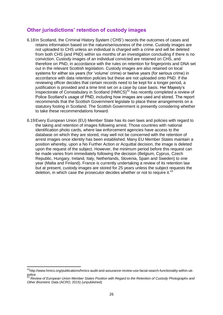## **Other jurisdictions' retention of custody images**

- 6.18In Scotland, the Criminal History System ('CHS') records the outcomes of cases and retains information based on the nature/seriousness of the crime. Custody images are not uploaded to CHS unless an individual is charged with a crime and will be deleted from both CHS (and PND) within six months of an investigation concluding if there is no conviction. Custody images of an individual convicted are retained on CHS, and therefore on PND, in accordance with the rules on retention for fingerprints and DNA set out in the relevant Scottish legislation. Custody images are also retained on local systems for either six years (for 'volume' crime) or twelve years (for serious crime) in accordance with data retention policies but these are not uploaded onto PND. If the reviewing officer decides that certain records need to be kept for a longer period, a justification is provided and a time limit set on a case by case basis. Her Majesty's Inspectorate of Constabulary in Scotland  $(HMICS)^{42}$  has recently completed a review of Police Scotland's usage of PND, including how images are used and stored. The report recommends that the Scottish Government legislate to place these arrangements on a statutory footing in Scotland. The Scottish Government is presently considering whether to take these recommendations forward.
- 6.19Every European Union (EU) Member State has its own laws and policies with regard to the taking and retention of images following arrest. Those countries with national identification photo cards, where law enforcement agencies have access to the database on which they are stored, may well not be concerned with the retention of arrest images once identity has been established. Many EU Member States maintain a position whereby, upon a No Further Action or Acquittal decision, the image is deleted upon the request of the subject. However, the minimum period before this request can be made varies from immediately following the decision (Belgium, Cyprus, Czech Republic, Hungary, Ireland, Italy, Netherlands, Slovenia, Spain and Sweden) to one year (Malta and Finland). France is currently undertaking a review of its retention law but at present, custody images are stored for 25 years unless the subject requests the deletion, in which case the prosecutor decides whether or not to require it.<sup>43</sup>

1

<sup>&</sup>lt;sup>42</sup>http://www.hmics.org/publications/hmics-audit-and-assurance-review-use-facial-search-functionality-within-ukpolice

<sup>43</sup> *Review of European Union Member States Position with Regard to the Retention of Custody Photographs and Other Biometric Data* (ACRO, 2015) (unpublished)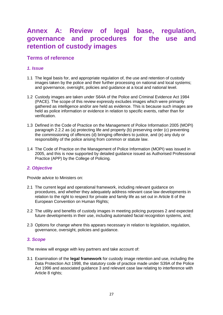## <span id="page-30-0"></span>**Annex A: Review of legal base, regulation, governance and procedures for the use and retention of custody images**

## <span id="page-30-1"></span>**Terms of reference**

### <span id="page-30-2"></span>*1. Issue*

- 1.1 The legal basis for, and appropriate regulation of, the use and retention of custody images taken by the police and their further processing on national and local systems; and governance, oversight, policies and guidance at a local and national level.
- 1.2 Custody images are taken under S64A of the Police and Criminal Evidence Act 1984 (PACE). The scope of this review expressly excludes images which were primarily gathered as intelligence and/or are held as evidence. This is because such images are held as police information or evidence in relation to specific events, rather than for verification.
- 1.3 Defined in the Code of Practice on the Management of Police Information 2005 (MOPI) paragraph 2.2.2 as (a) protecting life and property (b) preserving order (c) preventing the commissioning of offences (d) bringing offenders to justice, and (e) any duty or responsibility of the police arising from common or statute law.
- 1.4 The Code of Practice on the Management of Police Information (MOPI) was issued in 2005, and this is now supported by detailed guidance issued as Authorised Professional Practice (APP) by the College of Policing.

### <span id="page-30-3"></span>*2. Objective*

Provide advice to Ministers on:

- 2.1 The current legal and operational framework, including relevant guidance on procedures, and whether they adequately address relevant case law developments in relation to the right to respect for private and family life as set out in Article 8 of the European Convention on Human Rights;
- 2.2 The utility and benefits of custody images in meeting policing purposes 2 and expected future developments in their use, including automated facial recognition systems, and;
- 2.3 Options for change where this appears necessary in relation to legislation, regulation, governance, oversight, policies and guidance.

### <span id="page-30-4"></span>*3. Scope*

The review will engage with key partners and take account of:

3.1 Examination of the **legal framework** for custody image retention and use, including the Data Protection Act 1998, the statutory code of practice made under S39A of the Police Act 1996 and associated guidance 3 and relevant case law relating to interference with Article 8 rights;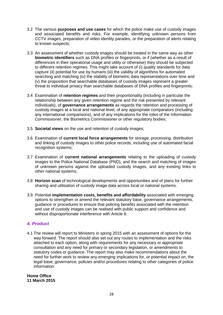- 3.2 The various **purposes and use cases** for which the police make use of custody images and associated benefits and risks. For example, identifying unknown persons from CCTV images, preparation of video identity parades, or the preparation of alerts relating to known suspects;
- 3.3 An assessment of whether custody images should be treated in the same way as other **biometric identifiers** such as DNA profiles or fingerprints, or if (whether as a result of differences in their operational usage and utility or otherwise) they should be subjected to different retention regimes. This might take account of (i) quality standards for data capture (ii) potential for use by humans (iii) the validity of algorithms for automated searching and matching (iv) the stability of biometric data representations over time and (v) the proposition that searchable databases of custody images represent a greater threat to individual privacy than searchable databases of DNA profiles and fingerprints;
- 3.4 Examination of **retention regimes** and their proportionality (including in particular the relationship between any given retention regime and the risk presented by relevant individuals), of **governance arrangements** as regards the retention and processing of custody images at a local and national level, of any appropriate comparators (including any international comparisons), and of any implications for the roles of the Information Commissioner, the Biometrics Commissioner or other regulatory bodies;
- 3.5 **Societal views** on the use and retention of custody images;
- 3.6 Examination of **current local force arrangements** for storage, processing, distribution and linking of custody images to other police records, including use of automated facial recognition systems;
- 3.7 Examination of **current national arrangements** relating to the uploading of custody images to the Police National Database (PND), and the search and matching of images of unknown persons against the uploaded custody images, and any existing links to other national systems;
- 3.8 **Horizon scan** of technological developments and opportunities and of plans for further sharing and utilisation of custody image data across local or national systems.
- 3.9 Potential **implementation costs, benefits and affordability** associated with emerging options to strengthen or amend the relevant statutory base, governance arrangements, guidance or procedures to ensure that policing benefits associated with the retention and use of custody images can be realised with public support and confidence and without disproportionate interference with Article 8.

### <span id="page-31-0"></span>*4. Product*

4.1 The review will report to Ministers in spring 2015 with an assessment of options for the way forward. The report should also set out any routes to implementation and the risks attached to each option, along with requirements for any necessary or appropriate consultation and any need for primary or secondary legislation, or amendments to statutory codes or guidance. The report may also make recommendations about the need for further work to review any emerging implications for, or potential impact on, the legal base, governance, policies and/or procedures relating to other categories of police information

**Home Office 11 March 2015**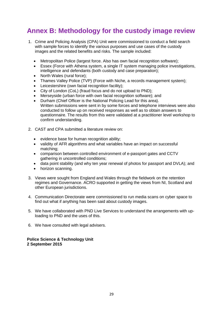## <span id="page-32-0"></span>**Annex B: Methodology for the custody image review**

- 1. Crime and Policing Analysis (CPA) Unit were commissioned to conduct a field search with sample forces to identify the various purposes and use cases of the custody images and the related benefits and risks. The sample included:
	- Metropolitan Police (largest force. Also has own facial recognition software);
	- Essex (Force with Athena system, a single IT system managing police investigations, intelligence and defendants (both custody and case preparation);
	- North Wales (rural force);
	- Thames Valley Police (TVP) (Force with Niche, a records management system);
	- Leicestershire (own facial recognition facility);
	- City of London (CoL) (fraud focus and do not upload to PND);
	- Merseyside (urban force with own facial recognition software); and
	- Durham (Chief Officer is the National Policing Lead for this area). Written submissions were sent in by some forces and telephone interviews were also conducted to follow up on received responses as well as to obtain answers to questionnaire. The results from this were validated at a practitioner level workshop to confirm understanding.
- 2. CAST and CPA submitted a literature review on:
	- evidence base for human recognition ability;
	- validity of AFR algorithms and what variables have an impact on successful matching;
	- comparison between controlled environment of e-passport gates and CCTV gathering in uncontrolled conditions;
	- data point stability (and why ten year renewal of photos for passport and DVLA); and
	- horizon scanning.
- 3. Views were sought from England and Wales through the fieldwork on the retention regimes and Governance. ACRO supported in getting the views from NI, Scotland and other European jurisdictions.
- 4. Communication Directorate were commissioned to run media scans on cyber space to find out what if anything has been said about custody images.
- 5. We have collaborated with PND Live Services to understand the arrangements with uploading to PND and the uses of this.
- 6. We have consulted with legal advisers.

**Police Science & Technology Unit 2 September 2015**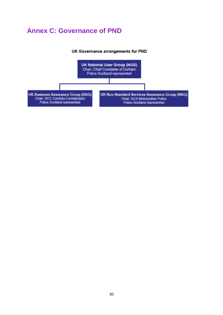## <span id="page-33-0"></span>**Annex C: Governance of PND**

#### UK Governance arrangements for PND

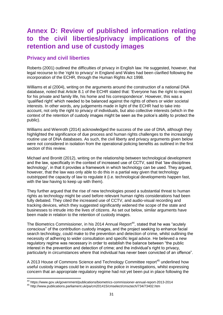## <span id="page-34-0"></span>**Annex D: Review of published information relating to the civil liberties/privacy implications of the retention and use of custody images**

## <span id="page-34-1"></span>**Privacy and civil liberties**

Roberts (2001) outlined the difficulties of privacy in English law. He suggested, however, that legal recourse to the 'right to privacy' in England and Wales had been clarified following the incorporation of the ECHR, through the Human Rights Act 1998.

Williams et al (2004), writing on the arguments around the construction of a national DNA database, noted that Article 8.1 of the ECHR stated that: 'Everyone has the right to respect for his private and family life, his home and his correspondence'. However, this was a 'qualified right' which needed to be balanced against the rights of others or wider societal interests. In other words, any judgements made in light of the ECHR had to take into account, not only the right to privacy of individuals, but also collective interests (which in the context of the retention of custody images might be seen as the police's ability to protect the public).

Williams and Wienroth (2014) acknowledged the success of the use of DNA, although they highlighted the significance of due process and human rights challenges to the increasingly routine use of DNA databases. As such, the civil liberty and privacy arguments given below were not considered in isolation from the operational policing benefits as outlined in the first section of this review.

Michael and Bronitt (2012), writing on the relationship between technological development and the law, specifically in the context of increased use of CCTV, said that 'law disciplines technology', in that it provides a framework in which technology can be used. They argued, however, that the law was only able to do this in a partial way given that technology outstripped the capacity of law to regulate it (i.e. technological developments happen fast, with the law having to keep up with them).

They further argued that the rise of new technologies posed a substantial threat to human rights as technology might be used before relevant human rights considerations had been fully debated. They cited the increased use of CCTV, and audio-visual recording and tracking devices, which they suggested significantly widened the scope of the state and businesses to intrude into the lives of citizens. As set out below, similar arguments have been made in relation to the retention of custody images.

The Biometrics Commissioner, in his 2014 Annual Report<sup>44</sup>, stated that he was "acutely conscious" of the contribution custody images, and the project seeking to enhance facial search technology, could make to the prevention and detection of crime, whilst outlining the necessity of adhering to wider consultation and specific legal advice. He believed a new regulatory regime was necessary in order to establish the balance between "the public interest in the prevention and detection of crime; and the individual's right to privacy, particularly in circumstances where that individual has never been convicted of an offence".

A 2013 House of Commons Science and Technology Committee report<sup>45</sup> underlined how useful custody images could be in assisting the police in investigations, whilst expressing concern that an appropriate regulatory regime had not yet been put in place following the

**.** 

<sup>44</sup> https://www.gov.uk/government/publications/biometrics-commissioner-annual-report-2013-2014

<sup>45</sup> http://www.publications.parliament.uk/pa/cm201415/cmselect/cmsctech/734/73402.htm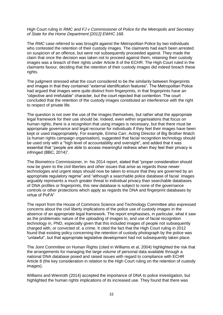High Court ruling in *RMC and FJ v Commissioner of Police for the Metropolis and Secretary of State for the Home Department [2012] EWHC 168*.

The *RMC* case referred to was brought against the Metropolitan Police by two individuals who contested the retention of their custody images. The claimants had each been arrested on suspicion of an offence, but were not subsequently proceeded against. They made the claim that once the decision was taken not to proceed against them, retaining their custody images was a breach of their rights under Article 8 of the ECHR. The High Court ruled in the claimants favour, deciding that the retention of their custody images did indeed breach these rights.

The judgment stressed what the court considered to be the similarity between fingerprints and images in that they contained "external identification features". The Metropolitan Police had argued that images were quite distinct from fingerprints, in that fingerprints have an "objective and irrefutable" character, but the court rejected that contention. The court concluded that the retention of the custody images constituted an interference with the right to respect of private life.

The question is not over the use of the images themselves, but rather what the appropriate legal framework for their use should be. Indeed, even within organisations that focus on human rights, there is a recognition that using images is necessary, but that there must be appropriate governance and legal recourse for individuals if they feel their images have been kept or used inappropriately. For example, Emma Carr, Acting Director of Big Brother Watch (a human rights campaign organisation), suggested that facial recognition technology should be used only with a "high level of accountability and oversight", and added that it was essential that "people are able to access meaningful redress when they feel their privacy is infringed (BBC, 2014)".

The Biometrics Commissioner, in his 2014 report, stated that "proper consideration should now be given to the civil liberties and other issues that arise as regards those newer technologies and urgent steps should now be taken to ensure that they are governed by an appropriate regulatory regime" and "although a searchable police database of facial images arguably represents a much greater threat to individual privacy than searchable databases of DNA profiles or fingerprints, this new database is subject to none of the governance controls or other protections which apply as regards the DNA and fingerprint databases by virtue of PoFA"

The report from the House of Commons Science and Technology Committee also expressed concerns about the civil liberty implications of the police use of custody images in the absence of an appropriate legal framework. The report emphasises, in particular, what it saw as the problematic nature of the uploading of images to, and use of facial recognition technology in, PND, especially given that this included images of people not subsequently charged with, or convicted of, a crime. It cited the fact that the High Court ruling in 2012 found that existing policy concerning the retention of custody photograph by the police was "unlawful", but that appropriate legislative development had not subsequently taken place.

The Joint Committee on Human Rights (cited in Williams et al, 2004) highlighted the risk that the arrangements for managing the large volume of personal data available through a national DNA database posed and raised issues with regard to compliance with ECHR Article 8 (the key consideration in relation to the High Court ruling on the retention of custody images).

Williams and Wienroth (2014) accepted the importance of DNA to police investigation, but highlighted the human rights implications of its increased use. They found that there was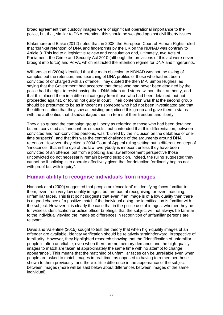broad agreement that custody images were of significant operational importance to the police, but that, similar to DNA retention, this should be weighed against civil liberty issues.

Blakemore and Blake (2012) noted that, in 2008, the European Court of Human Rights ruled that 'blanket retention' of DNA and fingerprints by the UK on the NDNAD was contrary to Article 8. This led to a legislative review and consultation and, ultimately, two Acts of Parliament: the Crime and Security Act 2010 (although the provisions of this act were never brought into force) and PoFA, which restricted the retention regime for DNA and fingerprints.

Williams et al (2004) identified that the main objection to NDNAD was not the taking of samples but the retention, and searching of DNA profiles of those who had not been convicted of or charged with an offence. They quoted the then MP, Simon Hughes, as saying that the Government had accepted that those who had never been detained by the police had the right to resist having their DNA taken and stored without their authority, and that this placed them in a different category from those who had been detained, but not proceeded against, or found not guilty in court. Their contention was that the second group should be presumed to be as innocent as someone who had not been investigated and that the differentiation that they saw as existing prejudiced this group and gave them a status with the authorities that disadvantaged them in terms of their freedom and liberty.

They also quoted the campaign group Liberty as referring to those who had been detained, but not convicted as 'innocent ex-suspects', but contended that this differentiation, between convicted and non-convicted persons, was "blurred by the inclusion on the database of onetime suspects", and that this was the central challenge of the arguments around DNA retention. However, they cited a 2004 Court of Appeal ruling setting out a different concept of 'innocence'; that in the eye of the law, everybody is innocent unless they have been convicted of an offence, but from a policing and law enforcement perspective those unconvicted do not necessarily remain beyond suspicion. Indeed, the ruling suggested they cannot be if policing is to operate effectively given that for detection "ordinarily begins not with proof but with inquiry".

## <span id="page-36-0"></span>**Human ability to recognise individuals from images**

Hancock et al (2000) suggested that people are 'excellent' at identifying faces familiar to them, even from very low quality images, but are bad at recognising, or even matching, unfamiliar faces. This first point suggests that even if an image is of a low quality then there is a good chance of a positive match if the individual doing the identification is familiar with the subject. However, it is clearly the case that in the police use of images, whether they be for witness identification or police officer briefings, that the subject will not always be familiar to the individual viewing the image so differences in recognition of unfamiliar persons are relevant.

Davis and Valentine (2015) sought to test the theory that when high-quality images of an offender are available, identity verification should be relatively straightforward, irrespective of familiarity. However, they highlighted research showing that the "identification of unfamiliar people is often unreliable, even when there are no memory demands and the high‐quality images to match are taken at approximately the same time with no attempt to change appearance". This means that the matching of unfamiliar faces can be unreliable even when people are asked to match images in real-time, as opposed to having to remember those shown to them previously, and there is little difference in the appearance of the subject between images (more will be said below about differences between images of the same individual).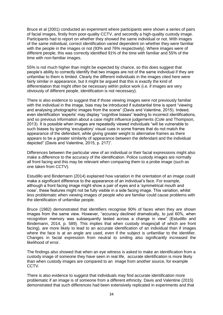Bruce et al (2001) conducted an experiment where participants were shown a series of pairs of facial images, firstly from poor‐quality CCTV, and secondly a high‐quality custody image. Participants had to report on whether they showed the same individual or not. With images of the same individual, correct identification varied dependent on whether they were familiar with the people in the images or not (93% and 76% respectively). Where images were of different people, this was correctly identified 91% of the time with familiar and 55% of the time with non-familiar images.

55% is not much higher than might be expected by chance, so this does suggest that people's ability to correctly identify that two images are not of the same individual if they are unfamiliar to them is limited. Clearly the different individuals in the images cited here were fairly similar in appearance, but it might be argued that this is exactly the kind of differentiation that might often be necessary within police work (i.e. if images are very obviously of different people, identification is not necessary).

There is also evidence to suggest that if those viewing images were not previously familiar with the individual in the image, bias may be introduced if substantial time is spent "viewing" and analysing photographic images from the scene" (Davis and Valentine, 2015). Indeed, even identification 'experts' may display "cognitive biases" leading to incorrect identifications, and so previous information about a case might influence judgements (Cole and Thompson, 2013). It is possible when images are repeatedly viewed individuals "will be vulnerable to such biases by ignoring 'exculpatory' visual cues in some frames that do not match the appearance of the defendant, while giving greater weight to alternative frames as there appears to be a greater similarity of appearance between the defendant and the individual depicted" (Davis and Valentine, 2015, p. 217)".

Differences between the particular view of an individual or their facial expressions might also make a difference to the accuracy of the identification. Police custody images are normally all front facing and this may be relevant when comparing them to a probe image (such as one taken from CCTV).

Estudillo and Bindemann (2014) explained how variation in the orientation of an image could make a significant difference to the appearance of an individual's face. For example, although a front facing image might show a pair of eyes and a 'symmetrical mouth and nose', these features might not be fully visible in a side facing image. This variation, whilst less problematic when viewing images of people who are familiar could cause problems with the identification of unfamiliar people.

Bruce (1982) demonstrated that identifiers recognise 90% of faces when they are shown images from the same view. However, "accuracy declined dramatically, to just 60%, when recognition memory was subsequently tested across a change in view" (Estudillo and Bindemann, 2014, p. 589). This implies that when custody images(all of which are front facing), are more likely to lead to an accurate identification of an individual than if images where the face is at an angle are used, even if the subject is unfamiliar to the identifier. Changes in facial expression from neutral to smiling also significantly increased the likelihood of error.

The findings also showed that when an eye witness is asked to make an identification from a custody image of someone they have seen in real life, accurate identification is more likely than when custody images are compared to an image from another source, for example CCTV.

There is also evidence to suggest that individuals may find accurate identification more problematic if an image is of someone from a different ethnicity. Davis and Valentine (2015) demonstrated that such differences had been extensively replicated in experiments and that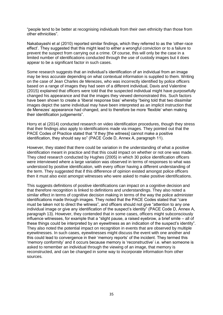"people tend to be better at recognising individuals from their own ethnicity than those from other ethnicities".

Nakabayashi et al (2010) reported similar findings, which they referred to as the 'other-race effect'. They suggested that this might lead to either a wrongful conviction or to a failure to prevent the suspect from carrying out a crime. Of course, this will only be the case in a limited number of identifications conducted through the use of custody images but it does appear to be a significant factor in such cases.

Some research suggests that an individual's identification of an individual from an image may be less accurate depending on what contextual information is supplied to them. Writing on the case of Jean Charles de Menezes, who was incorrectly identified by police officers based on a range of images they had seen of a different individual, Davis and Valentine (2015) explained that officers were told that the suspected individual might have purposefully changed his appearance and that the images they viewed demonstrated this. Such factors have been shown to create a 'liberal response bias' whereby "being told that two dissimilar images depict the same individual may have been interpreted as an implicit instruction that de Menezes' appearance had changed, and to therefore be more 'flexible' when making their identification judgements".

Horry et al (2014) conducted research on video identification procedures, though they stress that their findings also apply to identifications made via images. They pointed out that the PACE Codes of Practice stated that "if they [the witness] cannot make a positive identification, they should say so" (PACE Code D, Annex A, paragraph 11).

However, they stated that there could be variation in the understanding of what a positive identification meant in practice and that this could impact on whether or not one was made. They cited research conducted by Hughes (2005) in which 30 police identification officers were interviewed where a large variation was observed in terms of responses to what was understood by positive identification, with every officer having a different understanding of the term. They suggested that if this difference of opinion existed amongst police officers then it must also exist amongst witnesses who were asked to make positive identifications.

This suggests definitions of positive identifications can impact on a cognitive decision and that therefore recognition is linked to definitions and understandings. They also noted a similar effect in terms of cognitive decision making in terms of the way the police administer identifications made through images. They noted that the PACE Codes stated that "care must be taken not to direct the witness", and officers should not give "attention to any one individual image or give any identification of the suspect's identity" (PACE Code D, Annex A, paragraph 13). However, they contended that in some cases, officers might subconsciously influence witnesses, for example that a "slight pause, a raised eyebrow, a brief smile – all of these things could be interpreted by an eyewitness as an indication of the suspect's identity". They also noted the potential impact on recognition in events that are observed by multiple eyewitnesses. In such cases, eyewitnesses might discuss the event with one another and this could lead to convergence in their 'memory reports' of the incident. They termed this 'memory conformity' and it occurs because memory is 'reconstructive' i.e. when someone is asked to remember an individual through the viewing of an image, that memory is reconstructed, and can be changed in some way to incorporate information from other sources.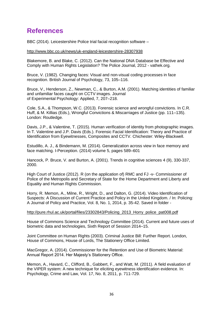## <span id="page-39-0"></span>**References**

BBC (2014). Leicestershire Police trial facial recognition software –

#### <http://www.bbc.co.uk/news/uk-england-leicestershire-28307938>

Blakemore, B. and Blake, C. (2012). Can the National DNA Database be Effective and Comply with Human Rights Legislation? The Police Journal, 2012 - vathek.org.

Bruce, V. (1982). Changing faces: Visual and non-visual coding processes in face recognition. British Journal of Psychology, 73, 105–116.

Bruce, V., Henderson, Z., Newman, C., & Burton, A.M. (2001). Matching identities of familiar and unfamiliar faces caught on CCTV images. Journal of Experimental Psychology: Applied, 7, 207–218.

Cole, S.A., & Thompson, W.C. (2013). Forensic science and wrongful convictions. In C.R. Huff, & M. Killias (Eds.), Wrongful Convictions & Miscarriages of Justice (pp. 111–135). London: Routledge.

Davis, J.P., & Valentine, T. (2015). Human verification of identity from photographic images. In T. Valentine and J.P. Davis (Eds.). Forensic Facial Identification: Theory and Practice of Identification from Eyewitnesses, Composites and CCTV. Chichester: Wiley-Blackwell.

Estudillo, A. J., & Bindemann, M. (2014). Generalization across view in face memory and face matching. I-Perception. (2014) volume 5, pages 589–601

Hancock, P. Bruce, V. and Burton, A. (2001). Trends in cognitive sciences 4 (9), 330-337, 2000.

High Court of Justice (2012). R (on the application of) RMC and FJ -v- Commissioner of Police of the Metropolis and Secretary of State for the Home Department and Liberty and Equality and Human Rights Commission.

Horry, R. Memon, A., Milne, R., Wright, D., and Dalton, G. (2014). Video Identification of Suspects: A Discussion of Current Practice and Policy in the United Kingdom. / In: Policing: A Journal of Policy and Practice, Vol. 8, No. 1, 2014, p. 35-42. Saved in folder -

#### [http://pure.rhul.ac.uk/portal/files/23302843/Policing\\_2013\\_Horry\\_police\\_pat008.pdf](http://pure.rhul.ac.uk/portal/files/23302843/Policing_2013_Horry_police_pat008.pdf)

House of Commons Science and Technology Committee (2014). Current and future uses of biometric data and technologies, Sixth Report of Session 2014–15.

Joint Committee on Human Rights (2003). Criminal Justice Bill: Further Report. London, House of Commons, House of Lords, The Stationery Office Limited.

MacGregor, A. (2014). Commissioner for the Retention and Use of Biometric Material: Annual Report 2014. Her Majesty's Stationery Office.

Memon, A., Havard, C., Clifford, B., Gabbert, F., and Watt, M. (2011). A field evaluation of the VIPER system: A new technique for eliciting eyewitness identification evidence. In: Psychology, Crime and Law, Vol. 17, No. 8, 2011, p. 711-729.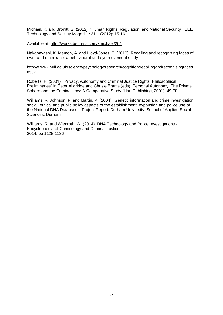Michael, K. and Bronitt, S. (2012). "Human Rights, Regulation, and National Security" IEEE Technology and Society Magazine 31.1 (2012): 15-16.

#### Available at:<http://works.bepress.com/kmichael/264>

Nakabayashi, K. Memon, A. and Lloyd-Jones, T. (2010). Recalling and recognizing faces of own- and other-race: a behavioural and eye movement study:

#### [http://www2.hull.ac.uk/science/psychology/research/cognition/recallingandrecognisingfaces.](http://www2.hull.ac.uk/science/psychology/research/cognition/recallingandrecognisingfaces.aspx) [aspx](http://www2.hull.ac.uk/science/psychology/research/cognition/recallingandrecognisingfaces.aspx)

Roberts, P. (2001). "Privacy, Autonomy and Criminal Justice Rights: Philosophical Preliminaries" in Peter Alldridge and Chrisje Brants (eds), Personal Autonomy, The Private Sphere and the Criminal Law: A Comparative Study (Hart Publishing, 2001), 49-78.

Williams, R. Johnson, P. and Martin, P. (2004). 'Genetic information and crime investigation: social, ethical and public policy aspects of the establishment, expansion and police use of the National DNA Database.', Project Report. Durham University, School of Applied Social Sciences, Durham.

Williams, R. and Wienroth, W. (2014). DNA Technology and Police Investigations - Encyclopaedia of Criminology and Criminal Justice, 2014, pp 1128-1136